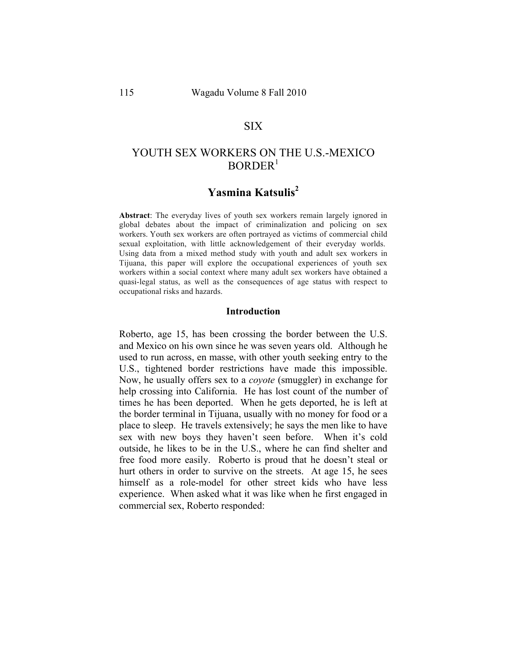## SIX

# YOUTH SEX WORKERS ON THE U.S.-MEXICO  $BORDER<sup>1</sup>$

# **Yasmina Katsulis2**

**Abstract**: The everyday lives of youth sex workers remain largely ignored in global debates about the impact of criminalization and policing on sex workers. Youth sex workers are often portrayed as victims of commercial child sexual exploitation, with little acknowledgement of their everyday worlds. Using data from a mixed method study with youth and adult sex workers in Tijuana, this paper will explore the occupational experiences of youth sex workers within a social context where many adult sex workers have obtained a quasi-legal status, as well as the consequences of age status with respect to occupational risks and hazards.

#### **Introduction**

Roberto, age 15, has been crossing the border between the U.S. and Mexico on his own since he was seven years old. Although he used to run across, en masse, with other youth seeking entry to the U.S., tightened border restrictions have made this impossible. Now, he usually offers sex to a *coyote* (smuggler) in exchange for help crossing into California. He has lost count of the number of times he has been deported. When he gets deported, he is left at the border terminal in Tijuana, usually with no money for food or a place to sleep. He travels extensively; he says the men like to have sex with new boys they haven't seen before. When it's cold outside, he likes to be in the U.S., where he can find shelter and free food more easily. Roberto is proud that he doesn't steal or hurt others in order to survive on the streets. At age 15, he sees himself as a role-model for other street kids who have less experience. When asked what it was like when he first engaged in commercial sex, Roberto responded: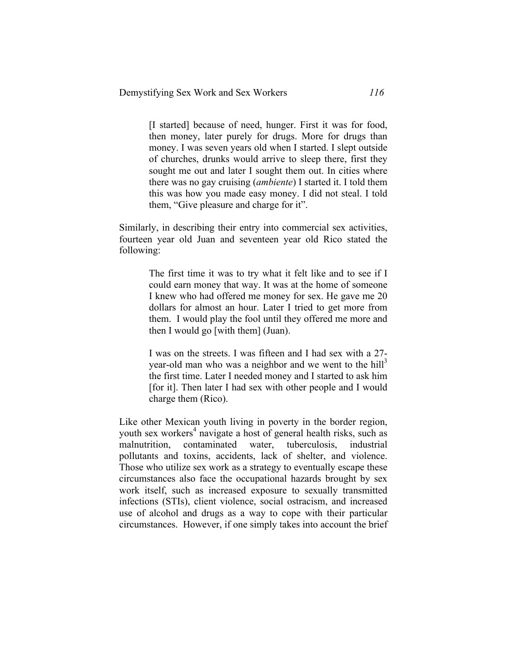[I started] because of need, hunger. First it was for food, then money, later purely for drugs. More for drugs than money. I was seven years old when I started. I slept outside of churches, drunks would arrive to sleep there, first they sought me out and later I sought them out. In cities where there was no gay cruising (*ambiente*) I started it. I told them this was how you made easy money. I did not steal. I told them, "Give pleasure and charge for it".

Similarly, in describing their entry into commercial sex activities, fourteen year old Juan and seventeen year old Rico stated the following:

> The first time it was to try what it felt like and to see if I could earn money that way. It was at the home of someone I knew who had offered me money for sex. He gave me 20 dollars for almost an hour. Later I tried to get more from them. I would play the fool until they offered me more and then I would go [with them] (Juan).

> I was on the streets. I was fifteen and I had sex with a 27 year-old man who was a neighbor and we went to the hill<sup>3</sup> the first time. Later I needed money and I started to ask him [for it]. Then later I had sex with other people and I would charge them (Rico).

Like other Mexican youth living in poverty in the border region, youth sex workers<sup>4</sup> navigate a host of general health risks, such as malnutrition, contaminated water, tuberculosis, industrial pollutants and toxins, accidents, lack of shelter, and violence. Those who utilize sex work as a strategy to eventually escape these circumstances also face the occupational hazards brought by sex work itself, such as increased exposure to sexually transmitted infections (STIs), client violence, social ostracism, and increased use of alcohol and drugs as a way to cope with their particular circumstances. However, if one simply takes into account the brief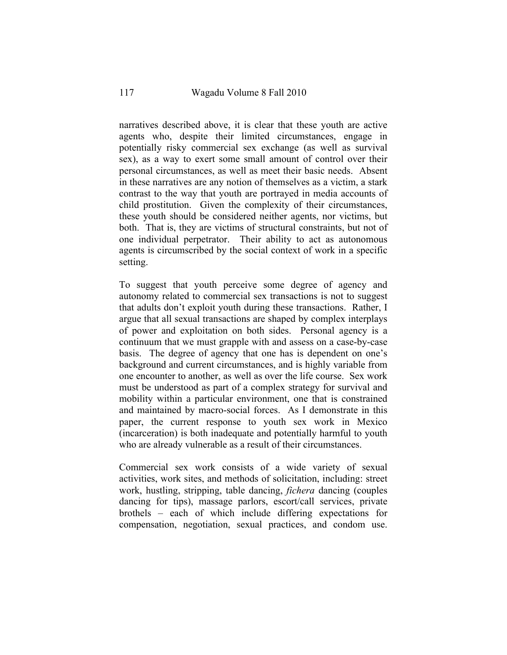narratives described above, it is clear that these youth are active agents who, despite their limited circumstances, engage in potentially risky commercial sex exchange (as well as survival sex), as a way to exert some small amount of control over their personal circumstances, as well as meet their basic needs. Absent in these narratives are any notion of themselves as a victim, a stark contrast to the way that youth are portrayed in media accounts of child prostitution. Given the complexity of their circumstances, these youth should be considered neither agents, nor victims, but both. That is, they are victims of structural constraints, but not of one individual perpetrator. Their ability to act as autonomous agents is circumscribed by the social context of work in a specific setting.

To suggest that youth perceive some degree of agency and autonomy related to commercial sex transactions is not to suggest that adults don't exploit youth during these transactions. Rather, I argue that all sexual transactions are shaped by complex interplays of power and exploitation on both sides. Personal agency is a continuum that we must grapple with and assess on a case-by-case basis. The degree of agency that one has is dependent on one's background and current circumstances, and is highly variable from one encounter to another, as well as over the life course. Sex work must be understood as part of a complex strategy for survival and mobility within a particular environment, one that is constrained and maintained by macro-social forces. As I demonstrate in this paper, the current response to youth sex work in Mexico (incarceration) is both inadequate and potentially harmful to youth who are already vulnerable as a result of their circumstances.

Commercial sex work consists of a wide variety of sexual activities, work sites, and methods of solicitation, including: street work, hustling, stripping, table dancing, *fichera* dancing (couples dancing for tips), massage parlors, escort/call services, private brothels – each of which include differing expectations for compensation, negotiation, sexual practices, and condom use.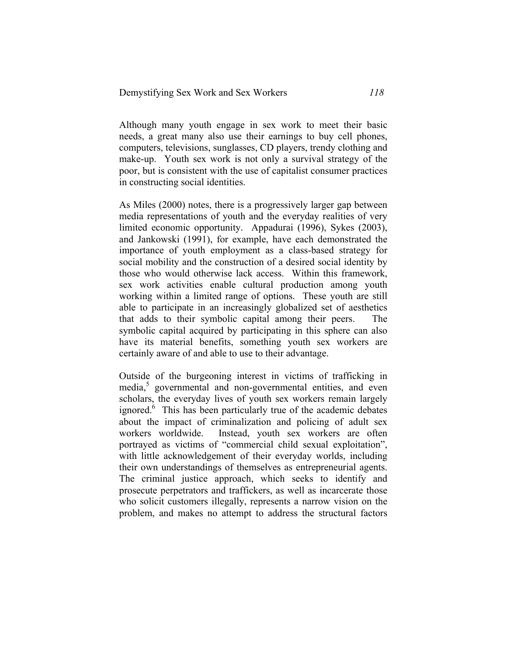Although many youth engage in sex work to meet their basic needs, a great many also use their earnings to buy cell phones, computers, televisions, sunglasses, CD players, trendy clothing and make-up. Youth sex work is not only a survival strategy of the poor, but is consistent with the use of capitalist consumer practices in constructing social identities.

As Miles (2000) notes, there is a progressively larger gap between media representations of youth and the everyday realities of very limited economic opportunity. Appadurai (1996), Sykes (2003), and Jankowski (1991), for example, have each demonstrated the importance of youth employment as a class-based strategy for social mobility and the construction of a desired social identity by those who would otherwise lack access. Within this framework, sex work activities enable cultural production among youth working within a limited range of options. These youth are still able to participate in an increasingly globalized set of aesthetics that adds to their symbolic capital among their peers. The symbolic capital acquired by participating in this sphere can also have its material benefits, something youth sex workers are certainly aware of and able to use to their advantage.

Outside of the burgeoning interest in victims of trafficking in media,<sup>5</sup> governmental and non-governmental entities, and even scholars, the everyday lives of youth sex workers remain largely ignored.<sup>6</sup> This has been particularly true of the academic debates about the impact of criminalization and policing of adult sex workers worldwide. Instead, youth sex workers are often portrayed as victims of "commercial child sexual exploitation", with little acknowledgement of their everyday worlds, including their own understandings of themselves as entrepreneurial agents. The criminal justice approach, which seeks to identify and prosecute perpetrators and traffickers, as well as incarcerate those who solicit customers illegally, represents a narrow vision on the problem, and makes no attempt to address the structural factors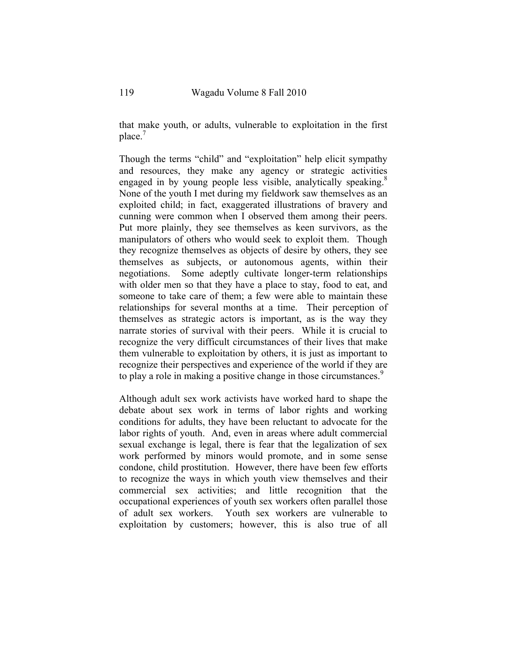that make youth, or adults, vulnerable to exploitation in the first  $place<sup>7</sup>$ 

Though the terms "child" and "exploitation" help elicit sympathy and resources, they make any agency or strategic activities engaged in by young people less visible, analytically speaking.<sup>8</sup> None of the youth I met during my fieldwork saw themselves as an exploited child; in fact, exaggerated illustrations of bravery and cunning were common when I observed them among their peers. Put more plainly, they see themselves as keen survivors, as the manipulators of others who would seek to exploit them. Though they recognize themselves as objects of desire by others, they see themselves as subjects, or autonomous agents, within their negotiations. Some adeptly cultivate longer-term relationships with older men so that they have a place to stay, food to eat, and someone to take care of them; a few were able to maintain these relationships for several months at a time. Their perception of themselves as strategic actors is important, as is the way they narrate stories of survival with their peers. While it is crucial to recognize the very difficult circumstances of their lives that make them vulnerable to exploitation by others, it is just as important to recognize their perspectives and experience of the world if they are to play a role in making a positive change in those circumstances.<sup>9</sup>

Although adult sex work activists have worked hard to shape the debate about sex work in terms of labor rights and working conditions for adults, they have been reluctant to advocate for the labor rights of youth. And, even in areas where adult commercial sexual exchange is legal, there is fear that the legalization of sex work performed by minors would promote, and in some sense condone, child prostitution. However, there have been few efforts to recognize the ways in which youth view themselves and their commercial sex activities; and little recognition that the occupational experiences of youth sex workers often parallel those of adult sex workers. Youth sex workers are vulnerable to exploitation by customers; however, this is also true of all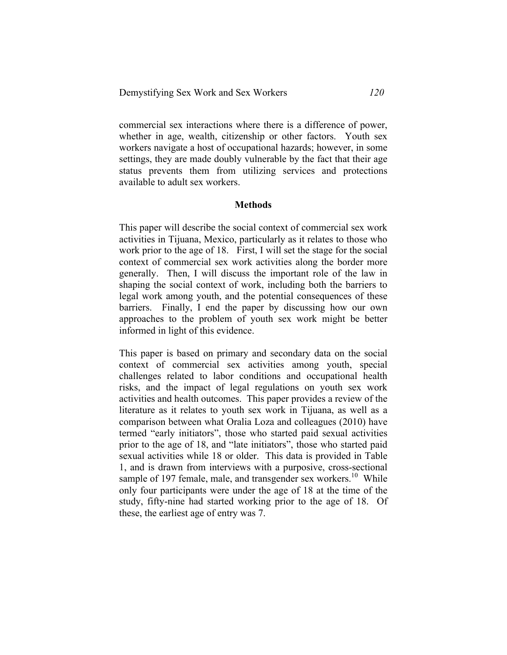commercial sex interactions where there is a difference of power, whether in age, wealth, citizenship or other factors. Youth sex workers navigate a host of occupational hazards; however, in some settings, they are made doubly vulnerable by the fact that their age status prevents them from utilizing services and protections available to adult sex workers.

#### **Methods**

This paper will describe the social context of commercial sex work activities in Tijuana, Mexico, particularly as it relates to those who work prior to the age of 18. First, I will set the stage for the social context of commercial sex work activities along the border more generally. Then, I will discuss the important role of the law in shaping the social context of work, including both the barriers to legal work among youth, and the potential consequences of these barriers. Finally, I end the paper by discussing how our own approaches to the problem of youth sex work might be better informed in light of this evidence.

This paper is based on primary and secondary data on the social context of commercial sex activities among youth, special challenges related to labor conditions and occupational health risks, and the impact of legal regulations on youth sex work activities and health outcomes. This paper provides a review of the literature as it relates to youth sex work in Tijuana, as well as a comparison between what Oralia Loza and colleagues (2010) have termed "early initiators", those who started paid sexual activities prior to the age of 18, and "late initiators", those who started paid sexual activities while 18 or older. This data is provided in Table 1, and is drawn from interviews with a purposive, cross-sectional sample of 197 female, male, and transgender sex workers.<sup>10</sup> While only four participants were under the age of 18 at the time of the study, fifty-nine had started working prior to the age of 18. Of these, the earliest age of entry was 7.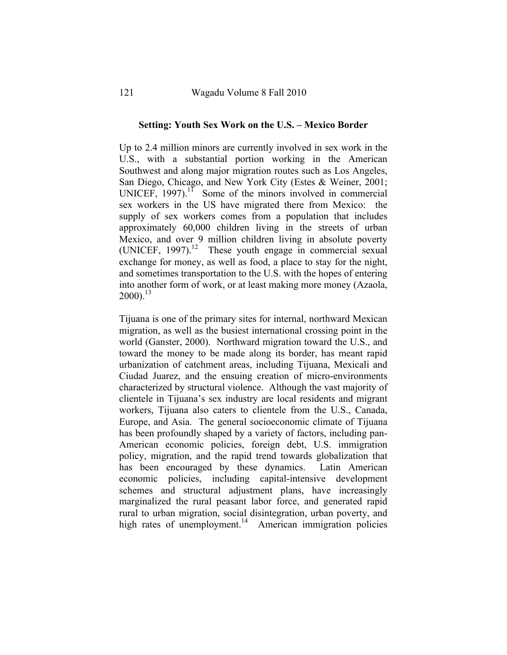#### **Setting: Youth Sex Work on the U.S. – Mexico Border**

Up to 2.4 million minors are currently involved in sex work in the U.S., with a substantial portion working in the American Southwest and along major migration routes such as Los Angeles, San Diego, Chicago, and New York City (Estes & Weiner, 2001; UNICEF,  $1997$ ).<sup>11</sup> Some of the minors involved in commercial sex workers in the US have migrated there from Mexico: the supply of sex workers comes from a population that includes approximately 60,000 children living in the streets of urban Mexico, and over 9 million children living in absolute poverty (UNICEF,  $1997$ ).<sup>12</sup> These youth engage in commercial sexual exchange for money, as well as food, a place to stay for the night, and sometimes transportation to the U.S. with the hopes of entering into another form of work, or at least making more money (Azaola,  $2000$ ).<sup>13</sup>

Tijuana is one of the primary sites for internal, northward Mexican migration, as well as the busiest international crossing point in the world (Ganster, 2000). Northward migration toward the U.S., and toward the money to be made along its border, has meant rapid urbanization of catchment areas, including Tijuana, Mexicali and Ciudad Juarez, and the ensuing creation of micro-environments characterized by structural violence. Although the vast majority of clientele in Tijuana's sex industry are local residents and migrant workers, Tijuana also caters to clientele from the U.S., Canada, Europe, and Asia. The general socioeconomic climate of Tijuana has been profoundly shaped by a variety of factors, including pan-American economic policies, foreign debt, U.S. immigration policy, migration, and the rapid trend towards globalization that has been encouraged by these dynamics. Latin American economic policies, including capital-intensive development schemes and structural adjustment plans, have increasingly marginalized the rural peasant labor force, and generated rapid rural to urban migration, social disintegration, urban poverty, and high rates of unemployment.<sup>14</sup> American immigration policies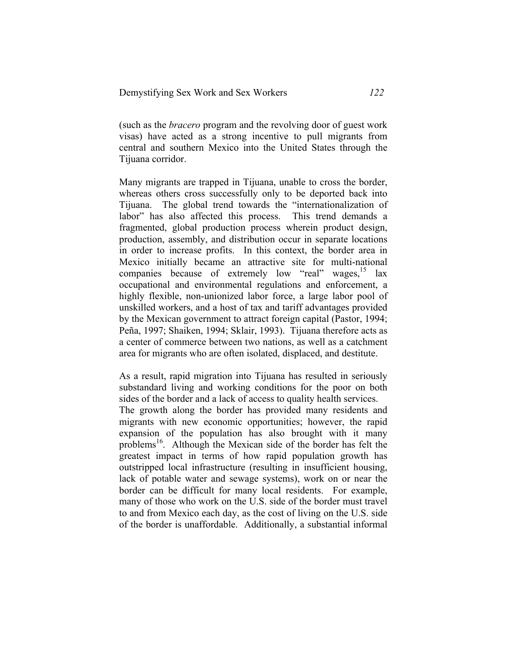(such as the *bracero* program and the revolving door of guest work visas) have acted as a strong incentive to pull migrants from central and southern Mexico into the United States through the Tijuana corridor.

Many migrants are trapped in Tijuana, unable to cross the border, whereas others cross successfully only to be deported back into Tijuana. The global trend towards the "internationalization of labor" has also affected this process. This trend demands a fragmented, global production process wherein product design, production, assembly, and distribution occur in separate locations in order to increase profits. In this context, the border area in Mexico initially became an attractive site for multi-national companies because of extremely low "real" wages,  $15$  lax occupational and environmental regulations and enforcement, a highly flexible, non-unionized labor force, a large labor pool of unskilled workers, and a host of tax and tariff advantages provided by the Mexican government to attract foreign capital (Pastor, 1994; Peña, 1997; Shaiken, 1994; Sklair, 1993). Tijuana therefore acts as a center of commerce between two nations, as well as a catchment area for migrants who are often isolated, displaced, and destitute.

As a result, rapid migration into Tijuana has resulted in seriously substandard living and working conditions for the poor on both sides of the border and a lack of access to quality health services.

The growth along the border has provided many residents and migrants with new economic opportunities; however, the rapid expansion of the population has also brought with it many problems<sup>16</sup>. Although the Mexican side of the border has felt the greatest impact in terms of how rapid population growth has outstripped local infrastructure (resulting in insufficient housing, lack of potable water and sewage systems), work on or near the border can be difficult for many local residents. For example, many of those who work on the U.S. side of the border must travel to and from Mexico each day, as the cost of living on the U.S. side of the border is unaffordable. Additionally, a substantial informal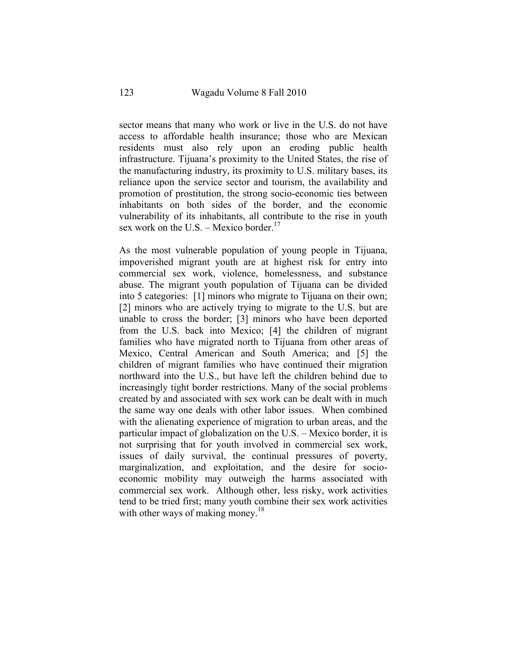sector means that many who work or live in the U.S. do not have access to affordable health insurance; those who are Mexican residents must also rely upon an eroding public health infrastructure. Tijuana's proximity to the United States, the rise of the manufacturing industry, its proximity to U.S. military bases, its reliance upon the service sector and tourism, the availability and promotion of prostitution, the strong socio-economic ties between inhabitants on both sides of the border, and the economic vulnerability of its inhabitants, all contribute to the rise in youth sex work on the U.S. – Mexico border.<sup>17</sup>

As the most vulnerable population of young people in Tijuana, impoverished migrant youth are at highest risk for entry into commercial sex work, violence, homelessness, and substance abuse. The migrant youth population of Tijuana can be divided into 5 categories: [1] minors who migrate to Tijuana on their own; [2] minors who are actively trying to migrate to the U.S. but are unable to cross the border; [3] minors who have been deported from the U.S. back into Mexico; [4] the children of migrant families who have migrated north to Tijuana from other areas of Mexico, Central American and South America; and [5] the children of migrant families who have continued their migration northward into the U.S., but have left the children behind due to increasingly tight border restrictions. Many of the social problems created by and associated with sex work can be dealt with in much the same way one deals with other labor issues. When combined with the alienating experience of migration to urban areas, and the particular impact of globalization on the U.S. – Mexico border, it is not surprising that for youth involved in commercial sex work, issues of daily survival, the continual pressures of poverty, marginalization, and exploitation, and the desire for socioeconomic mobility may outweigh the harms associated with commercial sex work. Although other, less risky, work activities tend to be tried first; many youth combine their sex work activities with other ways of making money.<sup>18</sup>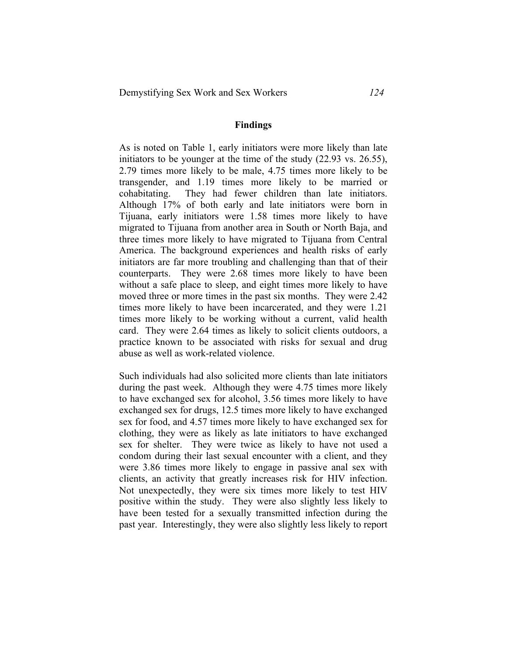#### **Findings**

As is noted on Table 1, early initiators were more likely than late initiators to be younger at the time of the study (22.93 vs. 26.55), 2.79 times more likely to be male, 4.75 times more likely to be transgender, and 1.19 times more likely to be married or cohabitating. They had fewer children than late initiators. Although 17% of both early and late initiators were born in Tijuana, early initiators were 1.58 times more likely to have migrated to Tijuana from another area in South or North Baja, and three times more likely to have migrated to Tijuana from Central America. The background experiences and health risks of early initiators are far more troubling and challenging than that of their counterparts. They were 2.68 times more likely to have been without a safe place to sleep, and eight times more likely to have moved three or more times in the past six months. They were 2.42 times more likely to have been incarcerated, and they were 1.21 times more likely to be working without a current, valid health card. They were 2.64 times as likely to solicit clients outdoors, a practice known to be associated with risks for sexual and drug abuse as well as work-related violence.

Such individuals had also solicited more clients than late initiators during the past week. Although they were 4.75 times more likely to have exchanged sex for alcohol, 3.56 times more likely to have exchanged sex for drugs, 12.5 times more likely to have exchanged sex for food, and 4.57 times more likely to have exchanged sex for clothing, they were as likely as late initiators to have exchanged sex for shelter. They were twice as likely to have not used a condom during their last sexual encounter with a client, and they were 3.86 times more likely to engage in passive anal sex with clients, an activity that greatly increases risk for HIV infection. Not unexpectedly, they were six times more likely to test HIV positive within the study. They were also slightly less likely to have been tested for a sexually transmitted infection during the past year. Interestingly, they were also slightly less likely to report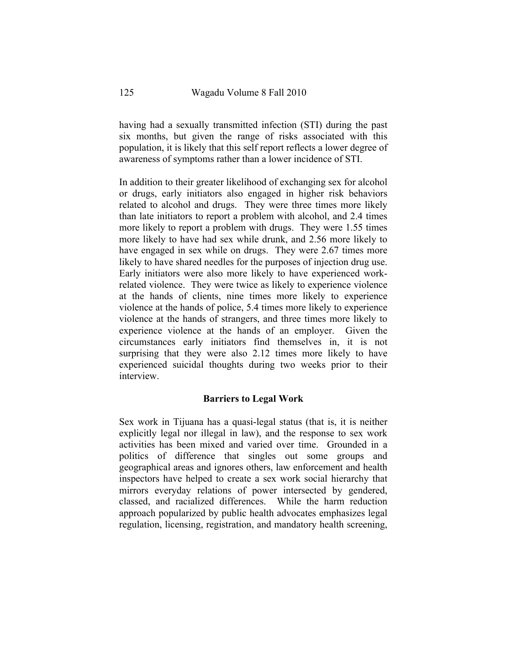having had a sexually transmitted infection (STI) during the past six months, but given the range of risks associated with this population, it is likely that this self report reflects a lower degree of awareness of symptoms rather than a lower incidence of STI.

In addition to their greater likelihood of exchanging sex for alcohol or drugs, early initiators also engaged in higher risk behaviors related to alcohol and drugs. They were three times more likely than late initiators to report a problem with alcohol, and 2.4 times more likely to report a problem with drugs. They were 1.55 times more likely to have had sex while drunk, and 2.56 more likely to have engaged in sex while on drugs. They were 2.67 times more likely to have shared needles for the purposes of injection drug use. Early initiators were also more likely to have experienced workrelated violence. They were twice as likely to experience violence at the hands of clients, nine times more likely to experience violence at the hands of police, 5.4 times more likely to experience violence at the hands of strangers, and three times more likely to experience violence at the hands of an employer. Given the circumstances early initiators find themselves in, it is not surprising that they were also 2.12 times more likely to have experienced suicidal thoughts during two weeks prior to their interview.

### **Barriers to Legal Work**

Sex work in Tijuana has a quasi-legal status (that is, it is neither explicitly legal nor illegal in law), and the response to sex work activities has been mixed and varied over time. Grounded in a politics of difference that singles out some groups and geographical areas and ignores others, law enforcement and health inspectors have helped to create a sex work social hierarchy that mirrors everyday relations of power intersected by gendered, classed, and racialized differences. While the harm reduction approach popularized by public health advocates emphasizes legal regulation, licensing, registration, and mandatory health screening,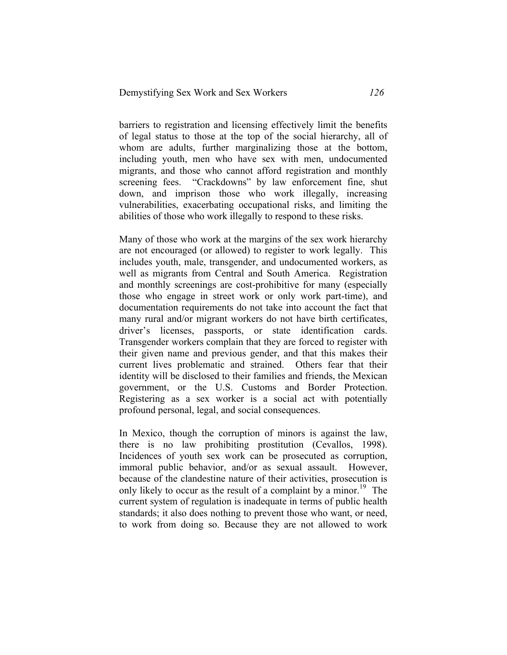barriers to registration and licensing effectively limit the benefits of legal status to those at the top of the social hierarchy, all of whom are adults, further marginalizing those at the bottom, including youth, men who have sex with men, undocumented migrants, and those who cannot afford registration and monthly screening fees. "Crackdowns" by law enforcement fine, shut down, and imprison those who work illegally, increasing vulnerabilities, exacerbating occupational risks, and limiting the abilities of those who work illegally to respond to these risks.

Many of those who work at the margins of the sex work hierarchy are not encouraged (or allowed) to register to work legally. This includes youth, male, transgender, and undocumented workers, as well as migrants from Central and South America. Registration and monthly screenings are cost-prohibitive for many (especially those who engage in street work or only work part-time), and documentation requirements do not take into account the fact that many rural and/or migrant workers do not have birth certificates, driver's licenses, passports, or state identification cards. Transgender workers complain that they are forced to register with their given name and previous gender, and that this makes their current lives problematic and strained. Others fear that their identity will be disclosed to their families and friends, the Mexican government, or the U.S. Customs and Border Protection. Registering as a sex worker is a social act with potentially profound personal, legal, and social consequences.

In Mexico, though the corruption of minors is against the law, there is no law prohibiting prostitution (Cevallos, 1998). Incidences of youth sex work can be prosecuted as corruption, immoral public behavior, and/or as sexual assault. However, because of the clandestine nature of their activities, prosecution is only likely to occur as the result of a complaint by a minor.<sup>19</sup> The current system of regulation is inadequate in terms of public health standards; it also does nothing to prevent those who want, or need, to work from doing so. Because they are not allowed to work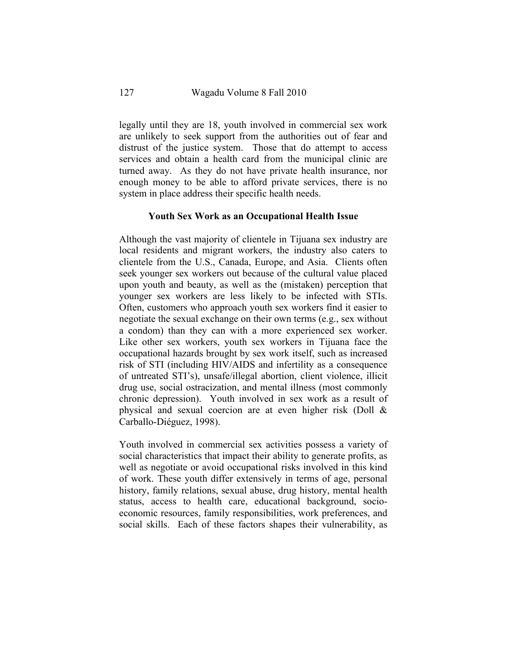legally until they are 18, youth involved in commercial sex work are unlikely to seek support from the authorities out of fear and distrust of the justice system. Those that do attempt to access services and obtain a health card from the municipal clinic are turned away. As they do not have private health insurance, nor enough money to be able to afford private services, there is no system in place address their specific health needs.

#### **Youth Sex Work as an Occupational Health Issue**

Although the vast majority of clientele in Tijuana sex industry are local residents and migrant workers, the industry also caters to clientele from the U.S., Canada, Europe, and Asia. Clients often seek younger sex workers out because of the cultural value placed upon youth and beauty, as well as the (mistaken) perception that younger sex workers are less likely to be infected with STIs. Often, customers who approach youth sex workers find it easier to negotiate the sexual exchange on their own terms (e.g., sex without a condom) than they can with a more experienced sex worker. Like other sex workers, youth sex workers in Tijuana face the occupational hazards brought by sex work itself, such as increased risk of STI (including HIV/AIDS and infertility as a consequence of untreated STI's), unsafe/illegal abortion, client violence, illicit drug use, social ostracization, and mental illness (most commonly chronic depression). Youth involved in sex work as a result of physical and sexual coercion are at even higher risk (Doll & Carballo-Diéguez, 1998).

Youth involved in commercial sex activities possess a variety of social characteristics that impact their ability to generate profits, as well as negotiate or avoid occupational risks involved in this kind of work. These youth differ extensively in terms of age, personal history, family relations, sexual abuse, drug history, mental health status, access to health care, educational background, socioeconomic resources, family responsibilities, work preferences, and social skills. Each of these factors shapes their vulnerability, as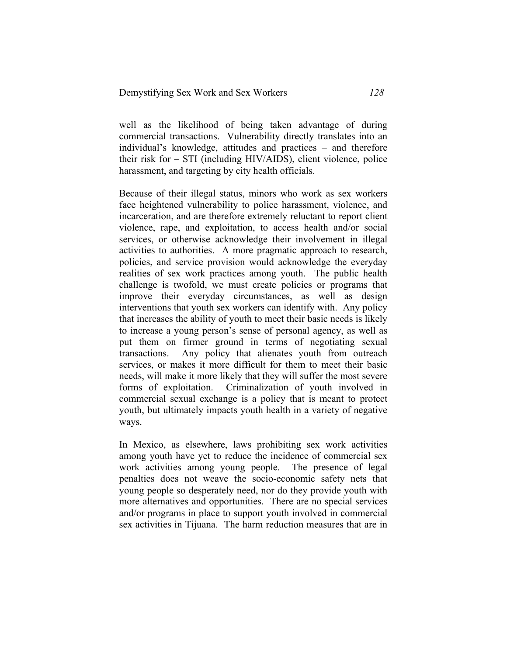well as the likelihood of being taken advantage of during commercial transactions. Vulnerability directly translates into an individual's knowledge, attitudes and practices – and therefore their risk for – STI (including HIV/AIDS), client violence, police harassment, and targeting by city health officials.

Because of their illegal status, minors who work as sex workers face heightened vulnerability to police harassment, violence, and incarceration, and are therefore extremely reluctant to report client violence, rape, and exploitation, to access health and/or social services, or otherwise acknowledge their involvement in illegal activities to authorities. A more pragmatic approach to research, policies, and service provision would acknowledge the everyday realities of sex work practices among youth. The public health challenge is twofold, we must create policies or programs that improve their everyday circumstances, as well as design interventions that youth sex workers can identify with. Any policy that increases the ability of youth to meet their basic needs is likely to increase a young person's sense of personal agency, as well as put them on firmer ground in terms of negotiating sexual transactions. Any policy that alienates youth from outreach services, or makes it more difficult for them to meet their basic needs, will make it more likely that they will suffer the most severe forms of exploitation. Criminalization of youth involved in commercial sexual exchange is a policy that is meant to protect youth, but ultimately impacts youth health in a variety of negative ways.

In Mexico, as elsewhere, laws prohibiting sex work activities among youth have yet to reduce the incidence of commercial sex work activities among young people. The presence of legal penalties does not weave the socio-economic safety nets that young people so desperately need, nor do they provide youth with more alternatives and opportunities. There are no special services and/or programs in place to support youth involved in commercial sex activities in Tijuana. The harm reduction measures that are in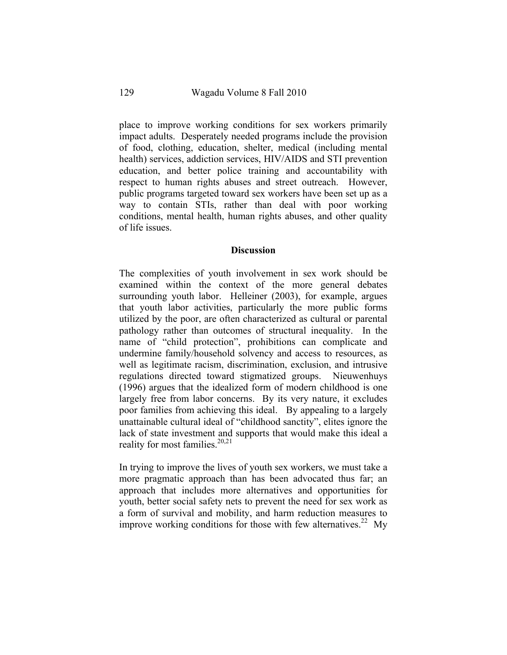place to improve working conditions for sex workers primarily impact adults. Desperately needed programs include the provision of food, clothing, education, shelter, medical (including mental health) services, addiction services, HIV/AIDS and STI prevention education, and better police training and accountability with respect to human rights abuses and street outreach. However, public programs targeted toward sex workers have been set up as a way to contain STIs, rather than deal with poor working conditions, mental health, human rights abuses, and other quality of life issues.

## **Discussion**

The complexities of youth involvement in sex work should be examined within the context of the more general debates surrounding youth labor. Helleiner (2003), for example, argues that youth labor activities, particularly the more public forms utilized by the poor, are often characterized as cultural or parental pathology rather than outcomes of structural inequality. In the name of "child protection", prohibitions can complicate and undermine family/household solvency and access to resources, as well as legitimate racism, discrimination, exclusion, and intrusive regulations directed toward stigmatized groups. Nieuwenhuys (1996) argues that the idealized form of modern childhood is one largely free from labor concerns. By its very nature, it excludes poor families from achieving this ideal. By appealing to a largely unattainable cultural ideal of "childhood sanctity", elites ignore the lack of state investment and supports that would make this ideal a reality for most families.<sup>20,21</sup>

In trying to improve the lives of youth sex workers, we must take a more pragmatic approach than has been advocated thus far; an approach that includes more alternatives and opportunities for youth, better social safety nets to prevent the need for sex work as a form of survival and mobility, and harm reduction measures to improve working conditions for those with few alternatives.<sup>22</sup> My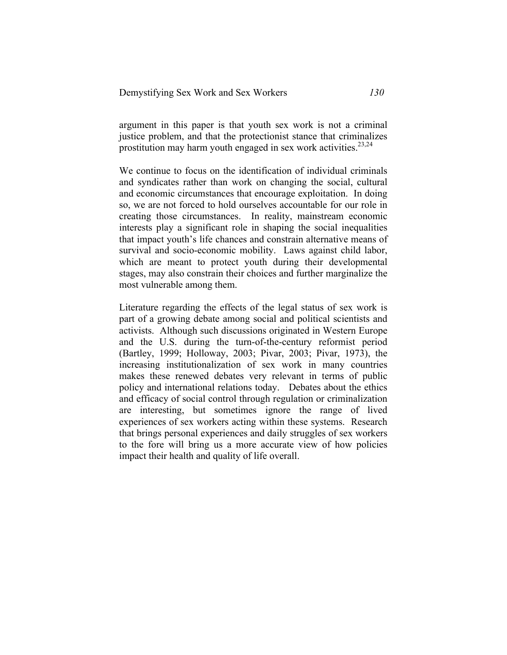argument in this paper is that youth sex work is not a criminal justice problem, and that the protectionist stance that criminalizes prostitution may harm youth engaged in sex work activities.<sup>23,24</sup>

We continue to focus on the identification of individual criminals and syndicates rather than work on changing the social, cultural and economic circumstances that encourage exploitation. In doing so, we are not forced to hold ourselves accountable for our role in creating those circumstances. In reality, mainstream economic interests play a significant role in shaping the social inequalities that impact youth's life chances and constrain alternative means of survival and socio-economic mobility. Laws against child labor, which are meant to protect youth during their developmental stages, may also constrain their choices and further marginalize the most vulnerable among them.

Literature regarding the effects of the legal status of sex work is part of a growing debate among social and political scientists and activists. Although such discussions originated in Western Europe and the U.S. during the turn-of-the-century reformist period (Bartley, 1999; Holloway, 2003; Pivar, 2003; Pivar, 1973), the increasing institutionalization of sex work in many countries makes these renewed debates very relevant in terms of public policy and international relations today. Debates about the ethics and efficacy of social control through regulation or criminalization are interesting, but sometimes ignore the range of lived experiences of sex workers acting within these systems. Research that brings personal experiences and daily struggles of sex workers to the fore will bring us a more accurate view of how policies impact their health and quality of life overall.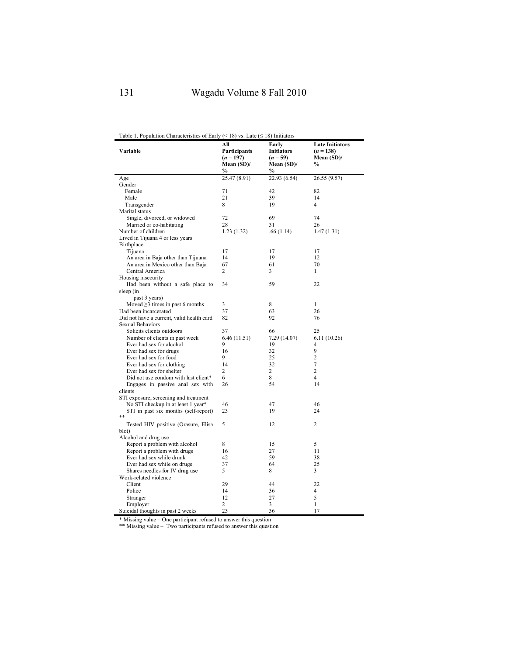Table 1. Population Characteristics of Early (< 18) vs. Late ( $\leq$  18) Initiators

| Variable                                           | AШ<br>Participants<br>$(n = 197)$ | Early<br><b>Initiators</b><br>$(n = 59)$ | <b>Late Initiators</b><br>$(n = 138)$<br>Mean $(SD)$ / |
|----------------------------------------------------|-----------------------------------|------------------------------------------|--------------------------------------------------------|
|                                                    | Mean $(SD)$ /<br>$\%$             | Mean $(SD)$ /<br>$\%$                    | $\%$                                                   |
| Age                                                | 25.47 (8.91)                      | 22.93 (6.54)                             | 26.55 (9.57)                                           |
| Gender                                             |                                   |                                          |                                                        |
| Female                                             | 71                                | 42                                       | 82                                                     |
| Male                                               | 21                                | 39                                       | 14                                                     |
| Transgender                                        | 8                                 | 19                                       | $\overline{4}$                                         |
| Marital status                                     |                                   |                                          |                                                        |
| Single, divorced, or widowed                       | 72                                | 69                                       | 74                                                     |
| Married or co-habitating                           | 28                                | 31                                       | 26                                                     |
| Number of children                                 | 1.23(1.32)                        | .66(1.14)                                | 1.47(1.31)                                             |
| Lived in Tijuana 4 or less years                   |                                   |                                          |                                                        |
| Birthplace                                         |                                   |                                          |                                                        |
| Tijuana                                            | 17                                | 17                                       | 17                                                     |
| An area in Baja other than Tijuana                 | 14                                | 19                                       | 12                                                     |
| An area in Mexico other than Baja                  | 67                                | 61                                       | 70                                                     |
| Central America                                    | 2                                 | 3                                        | $\mathbf{1}$                                           |
| Housing insecurity                                 |                                   |                                          |                                                        |
| Had been without a safe place to                   | 34                                | 59                                       | 22                                                     |
| sleep (in                                          |                                   |                                          |                                                        |
| past 3 years)                                      |                                   |                                          |                                                        |
| Moved $\geq$ 3 times in past 6 months              | 3                                 | 8                                        | $\mathbf{1}$                                           |
| Had been incarcerated                              | 37                                | 63                                       | 26                                                     |
| Did not have a current, valid health card          | 82                                | 92                                       | 76                                                     |
| <b>Sexual Behaviors</b>                            |                                   |                                          |                                                        |
| Solicits clients outdoors                          | 37                                | 66                                       | 25                                                     |
| Number of clients in past week                     | 6.46(11.51)<br>9                  | 7.29 (14.07)                             | 6.11(10.26)                                            |
| Ever had sex for alcohol                           |                                   | 19<br>32                                 | 4<br>9                                                 |
| Ever had sex for drugs                             | 16<br>9                           | 25                                       | $\overline{c}$                                         |
| Ever had sex for food<br>Ever had sex for clothing | 14                                | 32                                       | $\overline{\mathcal{I}}$                               |
| Ever had sex for shelter                           | 2                                 | 2                                        | $\overline{c}$                                         |
| Did not use condom with last client*               | 6                                 | 8                                        | $\overline{4}$                                         |
| Engages in passive anal sex with                   | 26                                | 54                                       | 14                                                     |
| clients                                            |                                   |                                          |                                                        |
| STI exposure, screening and treatment              |                                   |                                          |                                                        |
| No STI checkup in at least 1 year*                 | 46                                | 47                                       | 46                                                     |
| STI in past six months (self-report)               | 23                                | 19                                       | 24                                                     |
| **                                                 |                                   |                                          |                                                        |
| Tested HIV positive (Orasure, Elisa                | 5                                 | 12                                       | $\overline{c}$                                         |
| blot)                                              |                                   |                                          |                                                        |
| Alcohol and drug use                               |                                   |                                          |                                                        |
| Report a problem with alcohol                      | 8                                 | 15                                       | 5                                                      |
| Report a problem with drugs                        | 16                                | 27                                       | 11                                                     |
| Ever had sex while drunk                           | 42                                | 59                                       | 38                                                     |
| Ever had sex while on drugs                        | 37                                | 64                                       | 25                                                     |
| Shares needles for IV drug use                     | 5                                 | 8                                        | 3                                                      |
| Work-related violence                              |                                   |                                          |                                                        |
| Client                                             | 29                                | 44                                       | 22                                                     |
| Police                                             | 14                                | 36                                       | $\overline{4}$                                         |
| Stranger                                           | 12                                | 27                                       | 5                                                      |
| Employer                                           | 2                                 | 3                                        | $\mathbf{1}$                                           |
| Suicidal thoughts in past 2 weeks                  | 23                                | 36                                       | 17                                                     |

\* Missing value – One participant refused to answer this question \*\* Missing value – Two participants refused to answer this question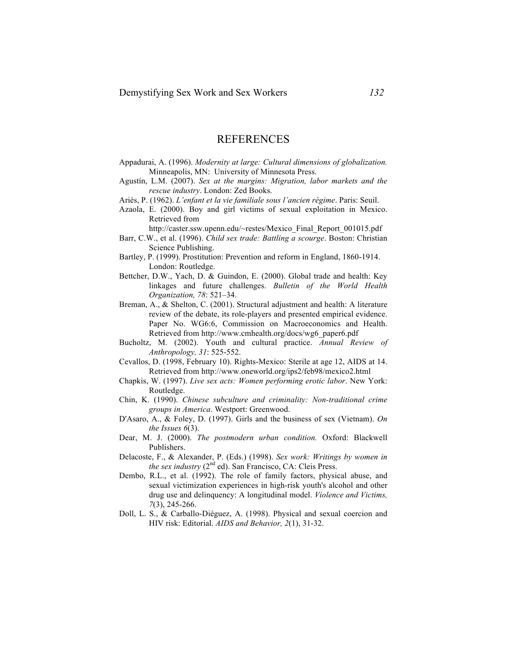## REFERENCES

- Appadurai, A. (1996). *Modernity at large: Cultural dimensions of globalization.* Minneapolis, MN: University of Minnesota Press.
- Agustín, L.M. (2007). *Sex at the margins: Migration, labor markets and the rescue industry*. London: Zed Books.
- Ariés, P. (1962). *L'enfant et la vie familiale sous l'ancien régime*. Paris: Seuil.
- Azaola, E. (2000). Boy and girl victims of sexual exploitation in Mexico. Retrieved from

http://caster.ssw.upenn.edu/~restes/Mexico\_Final\_Report\_001015.pdf

- Barr, C.W., et al. (1996). *Child sex trade: Battling a scourge*. Boston: Christian Science Publishing.
- Bartley, P. (1999). Prostitution: Prevention and reform in England, 1860-1914. London: Routledge.
- Bettcher, D.W., Yach, D. & Guindon, E. (2000). Global trade and health: Key linkages and future challenges. *Bulletin of the World Health Organization, 78*: 521–34.
- Breman, A., & Shelton, C. (2001). Structural adjustment and health: A literature review of the debate, its role-players and presented empirical evidence. Paper No. WG6:6, Commission on Macroeconomics and Health. Retrieved from http://www.cmhealth.org/docs/wg6\_paper6.pdf
- Bucholtz, M. (2002). Youth and cultural practice. *Annual Review of Anthropology, 31*: 525-552.
- Cevallos, D. (1998, February 10). Rights-Mexico: Sterile at age 12, AIDS at 14. Retrieved from http://www.oneworld.org/ips2/feb98/mexico2.html
- Chapkis, W. (1997). *Live sex acts: Women performing erotic labor*. New York: Routledge.
- Chin, K. (1990). *Chinese subculture and criminality: Non-traditional crime groups in America*. Westport: Greenwood.
- D'Asaro, A., & Foley, D. (1997). Girls and the business of sex (Vietnam). *On the Issues 6*(3).
- Dear, M. J. (2000). *The postmodern urban condition.* Oxford: Blackwell Publishers.
- Delacoste, F., & Alexander, P. (Eds.) (1998). *Sex work: Writings by women in the sex industry* (2<sup>nd</sup> ed). San Francisco, CA: Cleis Press.
- Dembo, R.L., et al. (1992). The role of family factors, physical abuse, and sexual victimization experiences in high-risk youth's alcohol and other drug use and delinquency: A longitudinal model. *Violence and Victims, 7*(3), 245-266.
- Doll, L. S., & Carballo-Diéguez, A. (1998). Physical and sexual coercion and HIV risk: Editorial. *AIDS and Behavior, 2*(1), 31-32.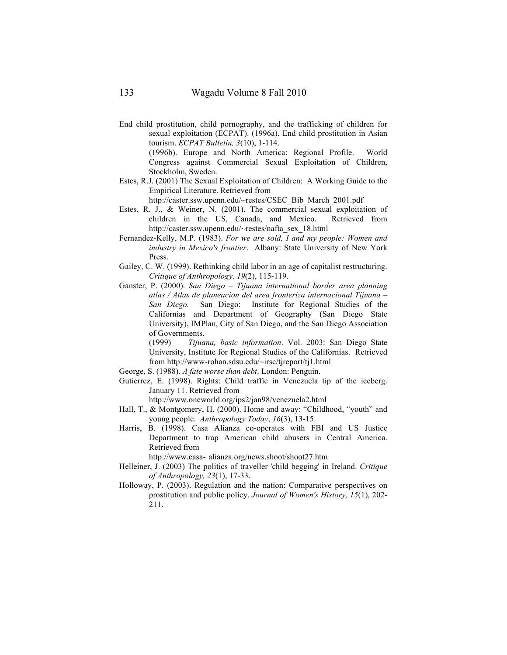End child prostitution, child pornography, and the trafficking of children for sexual exploitation (ECPAT). (1996a). End child prostitution in Asian tourism. *ECPAT Bulletin, 3*(10), 1-114.

(1996b). Europe and North America: Regional Profile. World Congress against Commercial Sexual Exploitation of Children, Stockholm, Sweden.

Estes, R.J. (2001) The Sexual Exploitation of Children: A Working Guide to the Empirical Literature. Retrieved from

http://caster.ssw.upenn.edu/~restes/CSEC\_Bib\_March\_2001.pdf

- Estes, R. J., & Weiner, N. (2001). The commercial sexual exploitation of children in the US, Canada, and Mexico. Retrieved from http://caster.ssw.upenn.edu/~restes/nafta\_sex\_18.html
- Fernandez-Kelly, M.P. (1983). *For we are sold, I and my people: Women and industry in Mexico's frontier*. Albany: State University of New York Press.
- Gailey, C. W. (1999). Rethinking child labor in an age of capitalist restructuring. *Critique of Anthropology, 19*(2), 115-119.
- Ganster, P. (2000). *San Diego – Tijuana international border area planning atlas / Atlas de planeacion del area fronteriza internacional Tijuana – San Diego.* San Diego: Institute for Regional Studies of the Californias and Department of Geography (San Diego State University), IMPlan, City of San Diego, and the San Diego Association of Governments.

(1999) *Tijuana, basic information*. Vol. 2003: San Diego State University, Institute for Regional Studies of the Californias. Retrieved from http://www-rohan.sdsu.edu/~irsc/tjreport/tj1.html

- George, S. (1988). *A fate worse than debt*. London: Penguin.
- Gutierrez, E. (1998). Rights: Child traffic in Venezuela tip of the iceberg. January 11. Retrieved from

http://www.oneworld.org/ips2/jan98/venezuela2.html

- Hall, T., & Montgomery, H. (2000). Home and away: "Childhood, "youth" and young people. *Anthropology Today*, *16*(3), 13-15.
- Harris, B. (1998). Casa Alianza co-operates with FBI and US Justice Department to trap American child abusers in Central America. Retrieved from

http://www.casa- alianza.org/news.shoot/shoot27.htm

- Helleiner, J. (2003) The politics of traveller 'child begging' in Ireland. *Critique of Anthropology, 23*(1), 17-33.
- Holloway, P. (2003). Regulation and the nation: Comparative perspectives on prostitution and public policy. *Journal of Women's History, 15*(1), 202- 211.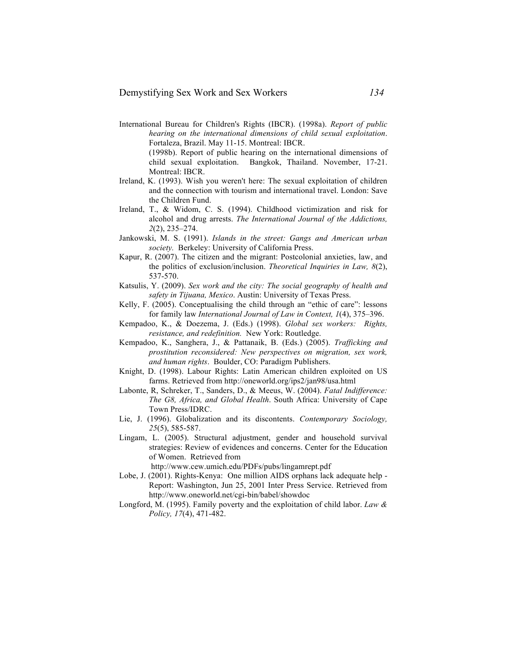- International Bureau for Children's Rights (IBCR). (1998a). *Report of public hearing on the international dimensions of child sexual exploitation*. Fortaleza, Brazil. May 11-15. Montreal: IBCR. (1998b). Report of public hearing on the international dimensions of
	- child sexual exploitation. Bangkok, Thailand. November, 17-21. Montreal: IBCR.
- Ireland, K. (1993). Wish you weren't here: The sexual exploitation of children and the connection with tourism and international travel. London: Save the Children Fund.
- Ireland, T., & Widom, C. S. (1994). Childhood victimization and risk for alcohol and drug arrests. *The International Journal of the Addictions, 2*(2), 235–274.
- Jankowski, M. S. (1991). *Islands in the street: Gangs and American urban society.* Berkeley: University of California Press.
- Kapur, R. (2007). The citizen and the migrant: Postcolonial anxieties, law, and the politics of exclusion/inclusion. *Theoretical Inquiries in Law, 8*(2), 537-570.
- Katsulis, Y. (2009). *Sex work and the city: The social geography of health and safety in Tijuana, Mexico*. Austin: University of Texas Press.
- Kelly, F. (2005). Conceptualising the child through an "ethic of care": lessons for family law *International Journal of Law in Context, 1*(4), 375–396.
- Kempadoo, K., & Doezema, J. (Eds.) (1998). *Global sex workers: Rights, resistance, and redefinition.* New York: Routledge.
- Kempadoo, K., Sanghera, J., & Pattanaik, B. (Eds.) (2005). *Trafficking and prostitution reconsidered: New perspectives on migration, sex work, and human rights*. Boulder, CO: Paradigm Publishers.
- Knight, D. (1998). Labour Rights: Latin American children exploited on US farms. Retrieved from http://oneworld.org/ips2/jan98/usa.html
- Labonte, R, Schreker, T., Sanders, D., & Meeus, W. (2004). *Fatal Indifference: The G8, Africa, and Global Health*. South Africa: University of Cape Town Press/IDRC.
- Lie, J. (1996). Globalization and its discontents. *Contemporary Sociology, 25*(5), 585-587.
- Lingam, L. (2005). Structural adjustment, gender and household survival strategies: Review of evidences and concerns. Center for the Education of Women. Retrieved from
	- http://www.cew.umich.edu/PDFs/pubs/lingamrept.pdf
- Lobe, J. (2001). Rights-Kenya: One million AIDS orphans lack adequate help Report: Washington, Jun 25, 2001 Inter Press Service. Retrieved from http://www.oneworld.net/cgi-bin/babel/showdoc
- Longford, M. (1995). Family poverty and the exploitation of child labor. *Law & Policy, 17*(4), 471-482.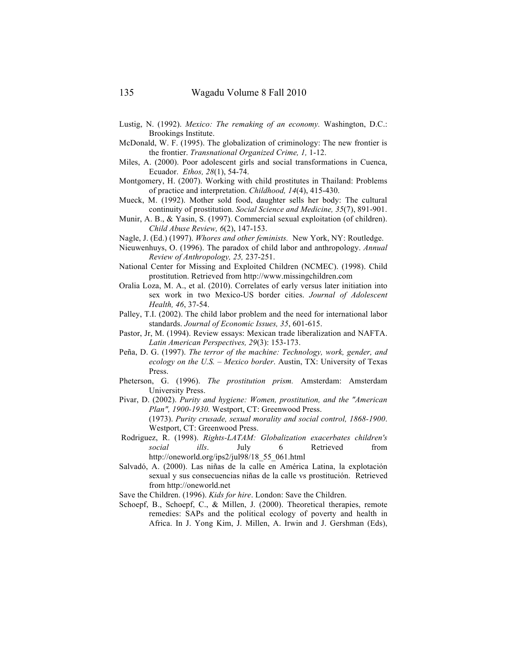- Lustig, N. (1992). *Mexico: The remaking of an economy.* Washington, D.C.: Brookings Institute.
- McDonald, W. F. (1995). The globalization of criminology: The new frontier is the frontier. *Transnational Organized Crime, 1,* 1-12.
- Miles, A. (2000). Poor adolescent girls and social transformations in Cuenca, Ecuador. *Ethos, 28*(1), 54-74.
- Montgomery, H. (2007). Working with child prostitutes in Thailand: Problems of practice and interpretation. *Childhood, 14*(4), 415-430.
- Mueck, M. (1992). Mother sold food, daughter sells her body: The cultural continuity of prostitution. *Social Science and Medicine, 35*(7), 891-901.
- Munir, A. B., & Yasin, S. (1997). Commercial sexual exploitation (of children). *Child Abuse Review, 6*(2), 147-153.
- Nagle, J. (Ed.) (1997). *Whores and other feminists.* New York, NY: Routledge.
- Nieuwenhuys, O. (1996). The paradox of child labor and anthropology. *Annual Review of Anthropology, 25,* 237-251.
- National Center for Missing and Exploited Children (NCMEC). (1998). Child prostitution. Retrieved from http://www.missingchildren.com
- Oralia Loza, M. A., et al. (2010). Correlates of early versus later initiation into sex work in two Mexico-US border cities. *Journal of Adolescent Health, 46*, 37-54.
- Palley, T.I. (2002). The child labor problem and the need for international labor standards. *Journal of Economic Issues, 35*, 601-615.
- Pastor, Jr, M. (1994). Review essays: Mexican trade liberalization and NAFTA. *Latin American Perspectives, 29*(3): 153-173.
- Peña, D. G. (1997). *The terror of the machine: Technology, work, gender, and ecology on the U.S. – Mexico border*. Austin, TX: University of Texas Press.
- Pheterson, G. (1996). *The prostitution prism.* Amsterdam: Amsterdam University Press.
- Pivar, D. (2002). *Purity and hygiene: Women, prostitution, and the "American Plan", 1900-1930.* Westport, CT: Greenwood Press. (1973). *Purity crusade, sexual morality and social control, 1868-1900*.
	- Westport, CT: Greenwood Press.
- Rodriguez, R. (1998). *Rights-LATAM: Globalization exacerbates children's social ills*. July 6 Retrieved from http://oneworld.org/ips2/jul98/18\_55\_061.html
- Salvadó, A. (2000). Las niñas de la calle en América Latina, la explotación sexual y sus consecuencias niñas de la calle vs prostitución. Retrieved from http://oneworld.net
- Save the Children. (1996). *Kids for hire*. London: Save the Children.
- Schoepf, B., Schoepf, C., & Millen, J. (2000). Theoretical therapies, remote remedies: SAPs and the political ecology of poverty and health in Africa. In J. Yong Kim, J. Millen, A. Irwin and J. Gershman (Eds),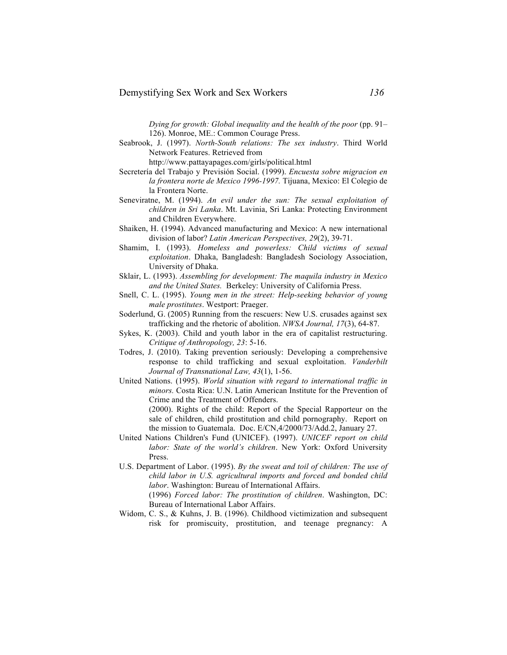*Dying for growth: Global inequality and the health of the poor* (pp. 91– 126). Monroe, ME.: Common Courage Press.

Seabrook, J. (1997). *North-South relations: The sex industry*. Third World Network Features. Retrieved from

http://www.pattayapages.com/girls/political.html

- Secretería del Trabajo y Previsión Social. (1999). *Encuesta sobre migracion en la frontera norte de Mexico 1996-1997.* Tijuana, Mexico: El Colegio de la Frontera Norte.
- Seneviratne, M. (1994). *An evil under the sun: The sexual exploitation of children in Sri Lanka*. Mt. Lavinia, Sri Lanka: Protecting Environment and Children Everywhere.
- Shaiken, H. (1994). Advanced manufacturing and Mexico: A new international division of labor? *Latin American Perspectives, 29*(2), 39-71.
- Shamim, I. (1993). *Homeless and powerless: Child victims of sexual exploitation*. Dhaka, Bangladesh: Bangladesh Sociology Association, University of Dhaka.
- Sklair, L. (1993). *Assembling for development: The maquila industry in Mexico and the United States.* Berkeley: University of California Press.
- Snell, C. L. (1995). *Young men in the street: Help-seeking behavior of young male prostitutes*. Westport: Praeger.
- Soderlund, G. (2005) Running from the rescuers: New U.S. crusades against sex trafficking and the rhetoric of abolition. *NWSA Journal, 17*(3), 64-87.
- Sykes, K. (2003). Child and youth labor in the era of capitalist restructuring. *Critique of Anthropology, 23*: 5-16.
- Todres, J. (2010). Taking prevention seriously: Developing a comprehensive response to child trafficking and sexual exploitation. *Vanderbilt Journal of Transnational Law, 43*(1), 1-56.
- United Nations. (1995). *World situation with regard to international traffic in minors.* Costa Rica: U.N. Latin American Institute for the Prevention of Crime and the Treatment of Offenders. (2000). Rights of the child: Report of the Special Rapporteur on the

sale of children, child prostitution and child pornography. Report on the mission to Guatemala. Doc. E/CN,4/2000/73/Add.2, January 27.

- United Nations Children's Fund (UNICEF). (1997). *UNICEF report on child labor: State of the world's children*. New York: Oxford University Press.
- U.S. Department of Labor. (1995). *By the sweat and toil of children: The use of child labor in U.S. agricultural imports and forced and bonded child labor*. Washington: Bureau of International Affairs. (1996) *Forced labor: The prostitution of children*. Washington, DC:

Bureau of International Labor Affairs. Widom, C. S., & Kuhns, J. B. (1996). Childhood victimization and subsequent

risk for promiscuity, prostitution, and teenage pregnancy: A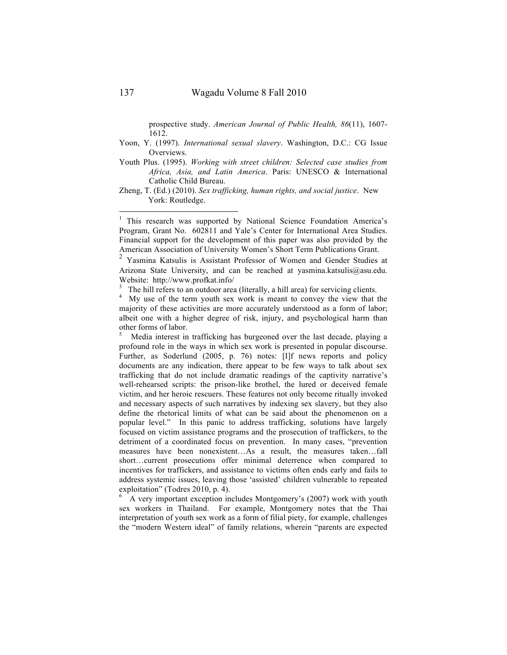prospective study. *American Journal of Public Health, 86*(11), 1607- 1612.

- Yoon, Y. (1997). *International sexual slavery*. Washington, D.C.: CG Issue Overviews.
- Youth Plus. (1995). *Working with street children: Selected case studies from Africa, Asia, and Latin America*. Paris: UNESCO & International Catholic Child Bureau.

Zheng, T. (Ed.) (2010). *Sex trafficking, human rights, and social justice*. New York: Routledge.

<sup>1</sup> This research was supported by National Science Foundation America's Program, Grant No. 602811 and Yale's Center for International Area Studies. Financial support for the development of this paper was also provided by the American Association of University Women's Short Term Publications Grant.

<sup>2</sup> Yasmina Katsulis is Assistant Professor of Women and Gender Studies at Arizona State University, and can be reached at yasmina.katsulis@asu.edu. Website: http://www.profkat.info/

3

<sup>3</sup> The hill refers to an outdoor area (literally, a hill area) for servicing clients.<br><sup>4</sup> My use of the term youth sex work is meant to convey the view that the majority of these activities are more accurately understood as a form of labor; albeit one with a higher degree of risk, injury, and psychological harm than other forms of labor.

 Media interest in trafficking has burgeoned over the last decade, playing a profound role in the ways in which sex work is presented in popular discourse. Further, as Soderlund (2005, p. 76) notes: [I]f news reports and policy documents are any indication, there appear to be few ways to talk about sex trafficking that do not include dramatic readings of the captivity narrative's well-rehearsed scripts: the prison-like brothel, the lured or deceived female victim, and her heroic rescuers. These features not only become ritually invoked and necessary aspects of such narratives by indexing sex slavery, but they also define the rhetorical limits of what can be said about the phenomenon on a popular level." In this panic to address trafficking, solutions have largely focused on victim assistance programs and the prosecution of traffickers, to the detriment of a coordinated focus on prevention. In many cases, "prevention measures have been nonexistent…As a result, the measures taken…fall short…current prosecutions offer minimal deterrence when compared to incentives for traffickers, and assistance to victims often ends early and fails to address systemic issues, leaving those 'assisted' children vulnerable to repeated exploitation" (Todres 2010, p. 4).

 A very important exception includes Montgomery's (2007) work with youth sex workers in Thailand. For example, Montgomery notes that the Thai interpretation of youth sex work as a form of filial piety, for example, challenges the "modern Western ideal" of family relations, wherein "parents are expected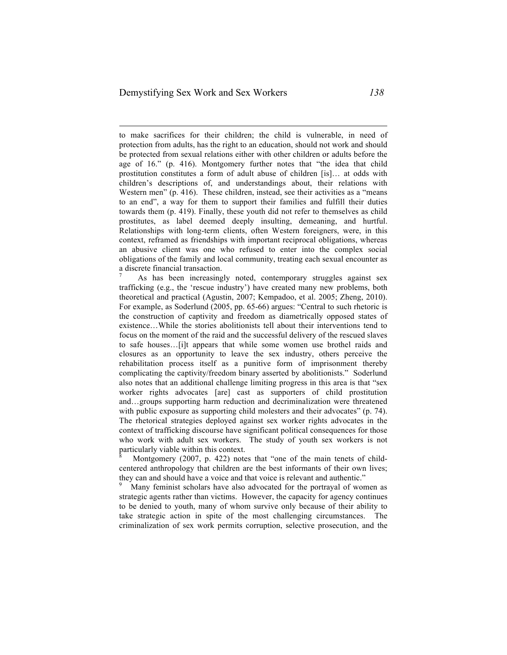to make sacrifices for their children; the child is vulnerable, in need of protection from adults, has the right to an education, should not work and should be protected from sexual relations either with other children or adults before the age of 16." (p. 416). Montgomery further notes that "the idea that child prostitution constitutes a form of adult abuse of children [is]… at odds with children's descriptions of, and understandings about, their relations with Western men" (p. 416). These children, instead, see their activities as a "means" to an end", a way for them to support their families and fulfill their duties towards them (p. 419). Finally, these youth did not refer to themselves as child prostitutes, as label deemed deeply insulting, demeaning, and hurtful. Relationships with long-term clients, often Western foreigners, were, in this context, reframed as friendships with important reciprocal obligations, whereas an abusive client was one who refused to enter into the complex social obligations of the family and local community, treating each sexual encounter as a discrete financial transaction.

7 As has been increasingly noted, contemporary struggles against sex trafficking (e.g., the 'rescue industry') have created many new problems, both theoretical and practical (Agustin, 2007; Kempadoo, et al. 2005; Zheng, 2010). For example, as Soderlund (2005, pp. 65-66) argues: "Central to such rhetoric is the construction of captivity and freedom as diametrically opposed states of existence…While the stories abolitionists tell about their interventions tend to focus on the moment of the raid and the successful delivery of the rescued slaves to safe houses…[i]t appears that while some women use brothel raids and closures as an opportunity to leave the sex industry, others perceive the rehabilitation process itself as a punitive form of imprisonment thereby complicating the captivity/freedom binary asserted by abolitionists." Soderlund also notes that an additional challenge limiting progress in this area is that "sex worker rights advocates [are] cast as supporters of child prostitution and…groups supporting harm reduction and decriminalization were threatened with public exposure as supporting child molesters and their advocates" (p. 74). The rhetorical strategies deployed against sex worker rights advocates in the context of trafficking discourse have significant political consequences for those who work with adult sex workers. The study of youth sex workers is not particularly viable within this context.

8 Montgomery (2007, p. 422) notes that "one of the main tenets of childcentered anthropology that children are the best informants of their own lives; they can and should have a voice and that voice is relevant and authentic."

 Many feminist scholars have also advocated for the portrayal of women as strategic agents rather than victims. However, the capacity for agency continues to be denied to youth, many of whom survive only because of their ability to take strategic action in spite of the most challenging circumstances. The criminalization of sex work permits corruption, selective prosecution, and the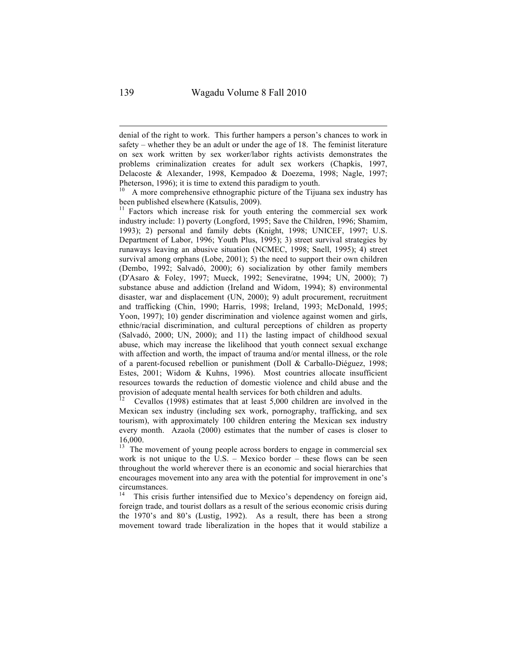denial of the right to work. This further hampers a person's chances to work in safety – whether they be an adult or under the age of 18. The feminist literature on sex work written by sex worker/labor rights activists demonstrates the problems criminalization creates for adult sex workers (Chapkis, 1997, Delacoste & Alexander, 1998, Kempadoo & Doezema, 1998; Nagle, 1997; Pheterson, 1996); it is time to extend this paradigm to youth.

<sup>10</sup> A more comprehensive ethnographic picture of the Tijuana sex industry has been published elsewhere (Katsulis, 2009).

 $b<sup>11</sup>$  Factors which increase risk for youth entering the commercial sex work industry include: 1) poverty (Longford, 1995; Save the Children, 1996; Shamim, 1993); 2) personal and family debts (Knight, 1998; UNICEF, 1997; U.S. Department of Labor, 1996; Youth Plus, 1995); 3) street survival strategies by runaways leaving an abusive situation (NCMEC, 1998; Snell, 1995); 4) street survival among orphans (Lobe, 2001); 5) the need to support their own children (Dembo, 1992; Salvadó, 2000); 6) socialization by other family members (D'Asaro & Foley, 1997; Mueck, 1992; Seneviratne, 1994; UN, 2000); 7) substance abuse and addiction (Ireland and Widom, 1994); 8) environmental disaster, war and displacement (UN, 2000); 9) adult procurement, recruitment and trafficking (Chin, 1990; Harris, 1998; Ireland, 1993; McDonald, 1995; Yoon, 1997); 10) gender discrimination and violence against women and girls, ethnic/racial discrimination, and cultural perceptions of children as property (Salvadó, 2000; UN, 2000); and 11) the lasting impact of childhood sexual abuse, which may increase the likelihood that youth connect sexual exchange with affection and worth, the impact of trauma and/or mental illness, or the role of a parent-focused rebellion or punishment (Doll & Carballo-Diéguez, 1998; Estes, 2001; Widom & Kuhns, 1996). Most countries allocate insufficient resources towards the reduction of domestic violence and child abuse and the provision of adequate mental health services for both children and adults.

12 Cevallos (1998) estimates that at least 5,000 children are involved in the Mexican sex industry (including sex work, pornography, trafficking, and sex tourism), with approximately 100 children entering the Mexican sex industry every month. Azaola (2000) estimates that the number of cases is closer to 16,000.

<sup>13</sup> The movement of young people across borders to engage in commercial sex work is not unique to the U.S. – Mexico border – these flows can be seen throughout the world wherever there is an economic and social hierarchies that encourages movement into any area with the potential for improvement in one's circumstances.

This crisis further intensified due to Mexico's dependency on foreign aid, foreign trade, and tourist dollars as a result of the serious economic crisis during the 1970's and 80's (Lustig, 1992). As a result, there has been a strong movement toward trade liberalization in the hopes that it would stabilize a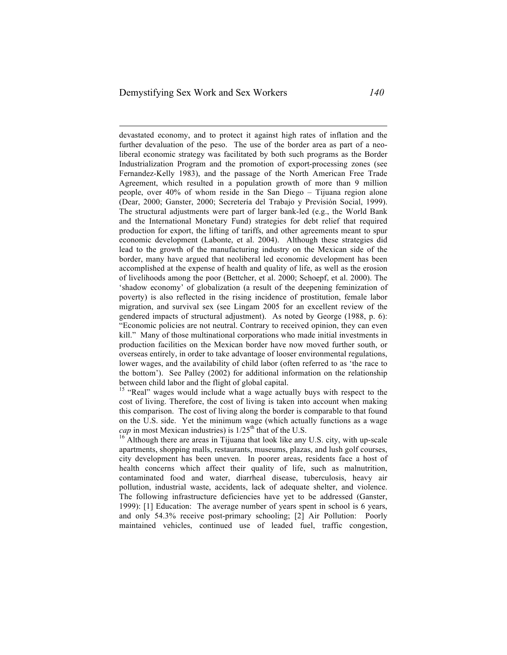devastated economy, and to protect it against high rates of inflation and the further devaluation of the peso. The use of the border area as part of a neoliberal economic strategy was facilitated by both such programs as the Border Industrialization Program and the promotion of export-processing zones (see Fernandez-Kelly 1983), and the passage of the North American Free Trade Agreement, which resulted in a population growth of more than 9 million people, over 40% of whom reside in the San Diego – Tijuana region alone (Dear, 2000; Ganster, 2000; Secretería del Trabajo y Previsión Social, 1999). The structural adjustments were part of larger bank-led (e.g., the World Bank and the International Monetary Fund) strategies for debt relief that required production for export, the lifting of tariffs, and other agreements meant to spur economic development (Labonte, et al. 2004). Although these strategies did lead to the growth of the manufacturing industry on the Mexican side of the border, many have argued that neoliberal led economic development has been accomplished at the expense of health and quality of life, as well as the erosion of livelihoods among the poor (Bettcher, et al. 2000; Schoepf, et al. 2000). The 'shadow economy' of globalization (a result of the deepening feminization of poverty) is also reflected in the rising incidence of prostitution, female labor migration, and survival sex (see Lingam 2005 for an excellent review of the gendered impacts of structural adjustment). As noted by George (1988, p. 6): "Economic policies are not neutral. Contrary to received opinion, they can even kill." Many of those multinational corporations who made initial investments in production facilities on the Mexican border have now moved further south, or overseas entirely, in order to take advantage of looser environmental regulations, lower wages, and the availability of child labor (often referred to as 'the race to the bottom'). See Palley (2002) for additional information on the relationship between child labor and the flight of global capital.

<sup>15</sup> "Real" wages would include what a wage actually buys with respect to the cost of living. Therefore, the cost of living is taken into account when making this comparison. The cost of living along the border is comparable to that found on the U.S. side. Yet the minimum wage (which actually functions as a wage *cap* in most Mexican industries) is  $1/25^{th}$  that of the U.S.<br><sup>16</sup> Although there are areas in Tijuana that look like any U.S. city, with up-scale

apartments, shopping malls, restaurants, museums, plazas, and lush golf courses, city development has been uneven. In poorer areas, residents face a host of health concerns which affect their quality of life, such as malnutrition, contaminated food and water, diarrheal disease, tuberculosis, heavy air pollution, industrial waste, accidents, lack of adequate shelter, and violence. The following infrastructure deficiencies have yet to be addressed (Ganster, 1999): [1] Education: The average number of years spent in school is 6 years, and only 54.3% receive post-primary schooling; [2] Air Pollution: Poorly maintained vehicles, continued use of leaded fuel, traffic congestion,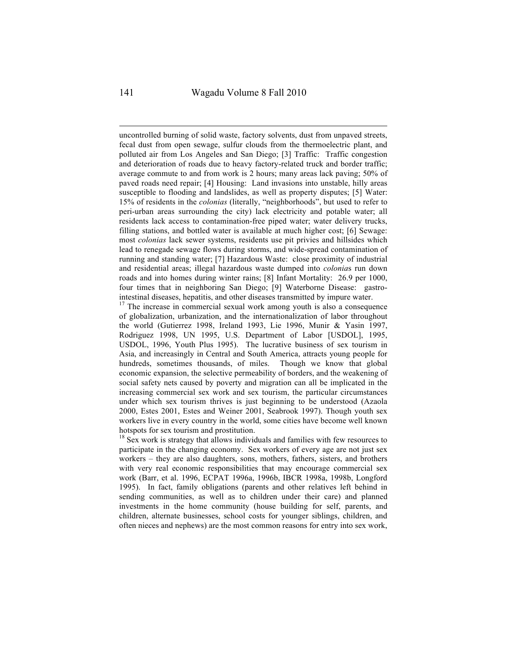uncontrolled burning of solid waste, factory solvents, dust from unpaved streets, fecal dust from open sewage, sulfur clouds from the thermoelectric plant, and polluted air from Los Angeles and San Diego; [3] Traffic: Traffic congestion and deterioration of roads due to heavy factory-related truck and border traffic; average commute to and from work is 2 hours; many areas lack paving; 50% of paved roads need repair; [4] Housing: Land invasions into unstable, hilly areas susceptible to flooding and landslides, as well as property disputes; [5] Water: 15% of residents in the *colonias* (literally, "neighborhoods", but used to refer to peri-urban areas surrounding the city) lack electricity and potable water; all residents lack access to contamination-free piped water; water delivery trucks, filling stations, and bottled water is available at much higher cost; [6] Sewage: most *colonias* lack sewer systems, residents use pit privies and hillsides which lead to renegade sewage flows during storms, and wide-spread contamination of running and standing water; [7] Hazardous Waste: close proximity of industrial and residential areas; illegal hazardous waste dumped into *colonia*s run down roads and into homes during winter rains; [8] Infant Mortality: 26.9 per 1000, four times that in neighboring San Diego; [9] Waterborne Disease: gastrointestinal diseases, hepatitis, and other diseases transmitted by impure water.

 $17$  The increase in commercial sexual work among youth is also a consequence of globalization, urbanization, and the internationalization of labor throughout the world (Gutierrez 1998, Ireland 1993, Lie 1996, Munir & Yasin 1997, Rodriguez 1998, UN 1995, U.S. Department of Labor [USDOL], 1995, USDOL, 1996, Youth Plus 1995). The lucrative business of sex tourism in Asia, and increasingly in Central and South America, attracts young people for hundreds, sometimes thousands, of miles. Though we know that global economic expansion, the selective permeability of borders, and the weakening of social safety nets caused by poverty and migration can all be implicated in the increasing commercial sex work and sex tourism, the particular circumstances under which sex tourism thrives is just beginning to be understood (Azaola 2000, Estes 2001, Estes and Weiner 2001, Seabrook 1997). Though youth sex workers live in every country in the world, some cities have become well known hotspots for sex tourism and prostitution.

 $18$  Sex work is strategy that allows individuals and families with few resources to participate in the changing economy. Sex workers of every age are not just sex workers – they are also daughters, sons, mothers, fathers, sisters, and brothers with very real economic responsibilities that may encourage commercial sex work (Barr, et al. 1996, ECPAT 1996a, 1996b, IBCR 1998a, 1998b, Longford 1995). In fact, family obligations (parents and other relatives left behind in sending communities, as well as to children under their care) and planned investments in the home community (house building for self, parents, and children, alternate businesses, school costs for younger siblings, children, and often nieces and nephews) are the most common reasons for entry into sex work,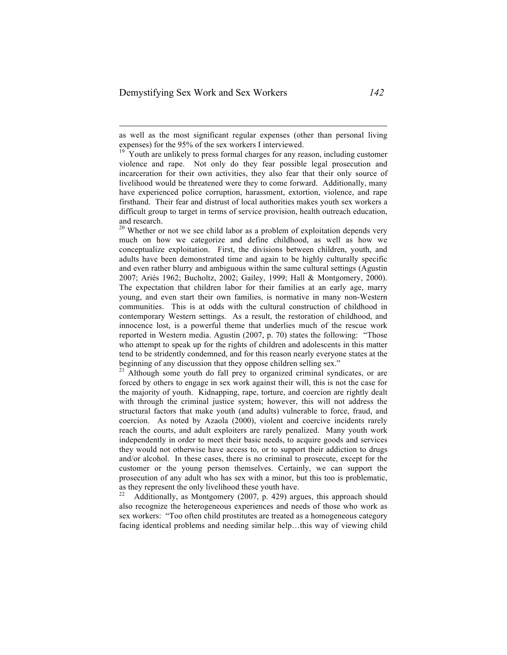$20$  Whether or not we see child labor as a problem of exploitation depends very much on how we categorize and define childhood, as well as how we conceptualize exploitation. First, the divisions between children, youth, and adults have been demonstrated time and again to be highly culturally specific and even rather blurry and ambiguous within the same cultural settings (Agustin 2007; Ariés 1962; Bucholtz, 2002; Gailey, 1999; Hall & Montgomery, 2000). The expectation that children labor for their families at an early age, marry young, and even start their own families, is normative in many non-Western communities. This is at odds with the cultural construction of childhood in contemporary Western settings. As a result, the restoration of childhood, and innocence lost, is a powerful theme that underlies much of the rescue work reported in Western media. Agustin (2007, p. 70) states the following: "Those who attempt to speak up for the rights of children and adolescents in this matter tend to be stridently condemned, and for this reason nearly everyone states at the beginning of any discussion that they oppose children selling sex."<br><sup>21</sup> Although some youth do fall prey to organized criminal syndicates, or are

forced by others to engage in sex work against their will, this is not the case for the majority of youth. Kidnapping, rape, torture, and coercion are rightly dealt with through the criminal justice system; however, this will not address the structural factors that make youth (and adults) vulnerable to force, fraud, and coercion. As noted by Azaola (2000), violent and coercive incidents rarely reach the courts, and adult exploiters are rarely penalized. Many youth work independently in order to meet their basic needs, to acquire goods and services they would not otherwise have access to, or to support their addiction to drugs and/or alcohol. In these cases, there is no criminal to prosecute, except for the customer or the young person themselves. Certainly, we can support the prosecution of any adult who has sex with a minor, but this too is problematic, as they represent the only livelihood these youth have.<br><sup>22</sup> Additionally, as Montgomery (2007, p. 429) argues, this approach should

also recognize the heterogeneous experiences and needs of those who work as sex workers: "Too often child prostitutes are treated as a homogeneous category facing identical problems and needing similar help…this way of viewing child

as well as the most significant regular expenses (other than personal living expenses) for the 95% of the sex workers I interviewed.

 $19$  Youth are unlikely to press formal charges for any reason, including customer violence and rape. Not only do they fear possible legal prosecution and incarceration for their own activities, they also fear that their only source of livelihood would be threatened were they to come forward. Additionally, many have experienced police corruption, harassment, extortion, violence, and rape firsthand. Their fear and distrust of local authorities makes youth sex workers a difficult group to target in terms of service provision, health outreach education, and research.